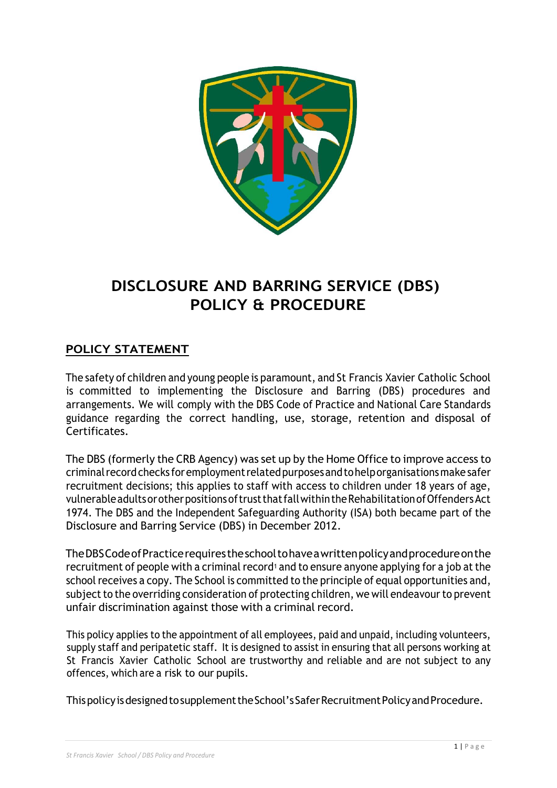

# **DISCLOSURE AND BARRING SERVICE (DBS) POLICY & PROCEDURE**

# **POLICY STATEMENT**

The safety of children and young people is paramount, and St Francis Xavier Catholic School is committed to implementing the Disclosure and Barring (DBS) procedures and arrangements. We will comply with the DBS Code of Practice and National Care Standards guidance regarding the correct handling, use, storage, retention and disposal of Certificates.

The DBS (formerly the CRB Agency) was set up by the Home Office to improve access to criminalrecordchecks foremploymentrelatedpurposesandtohelporganisationsmakesafer recruitment decisions; this applies to staff with access to children under 18 years of age, vulnerableadultsorotherpositionsoftrustthatfallwithintheRehabilitationofOffendersAct 1974. The DBS and the Independent Safeguarding Authority (ISA) both became part of the Disclosure and Barring Service (DBS) in December 2012.

TheDBSCodeofPracticerequirestheschooltohaveawrittenpolicyandprocedureonthe recruitment of people with a criminal record<sup>1</sup> and to ensure anyone applying for a job at the school receives a copy. The School is committed to the principle of equal opportunities and, subject to the overriding consideration of protecting children, we will endeavour to prevent unfair discrimination against those with a criminal record.

This policy applies to the appointment of all employees, paid and unpaid, including volunteers, supply staff and peripatetic staff. It is designed to assist in ensuring that all persons working at St Francis Xavier Catholic School are trustworthy and reliable and are not subject to any offences, which are a risk to our pupils.

This policy is designed to supplement the School's Safer Recruitment Policy and Procedure.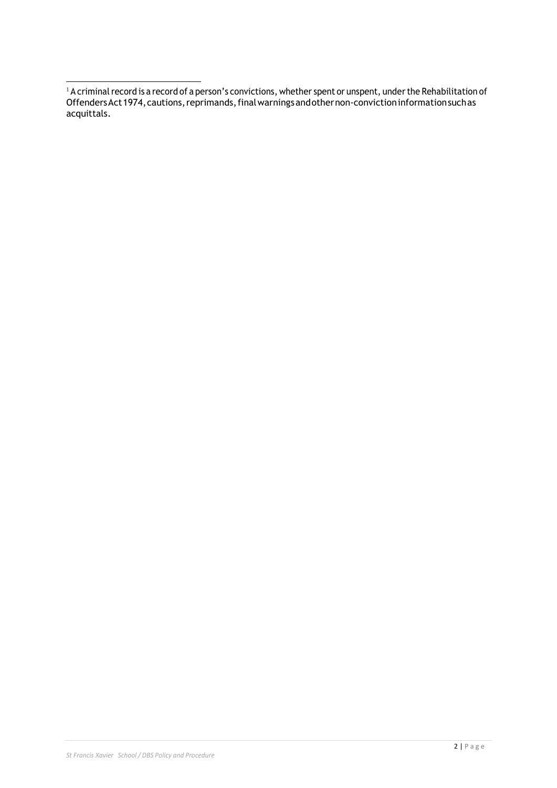$^1$  A criminal record is a record of a person's convictions, whether spent or unspent, under the Rehabilitation of OffendersAct1974,cautions,reprimands,finalwarningsandothernon-convictioninformationsuchas acquittals.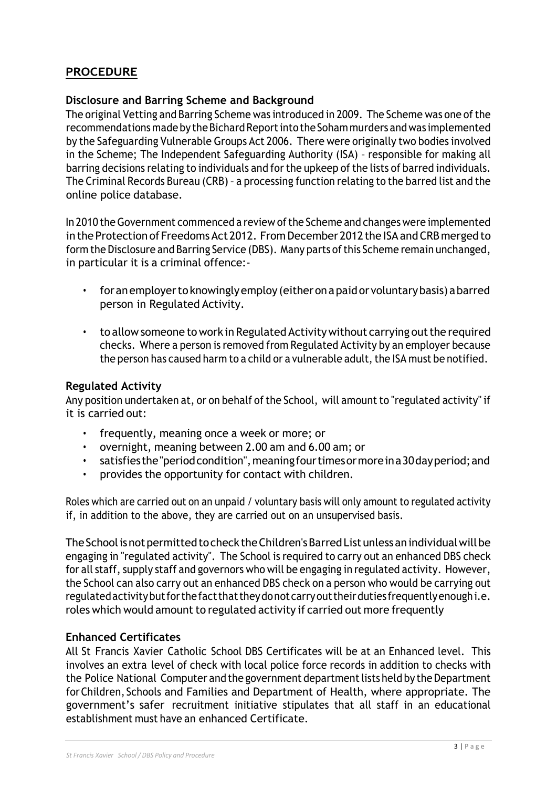# **PROCEDURE**

### **Disclosure and Barring Scheme and Background**

The original Vetting and Barring Scheme was introduced in 2009. The Scheme was one ofthe recommendations made by the Bichard Report into the Soham murders and was implemented by the Safeguarding Vulnerable Groups Act 2006. There were originally two bodies involved in the Scheme; The Independent Safeguarding Authority (ISA) – responsible for making all barring decisions relating to individuals and for the upkeep of the lists of barred individuals. The Criminal Records Bureau (CRB) – a processing function relating to the barred list and the online police database.

In 2010 the Government commenced a review of the Scheme and changes were implemented in the Protection of Freedoms Act 2012. From December 2012 the ISA and CRB merged to form the Disclosure and Barring Service (DBS). Many parts of this Scheme remain unchanged, in particular it is a criminal offence:-

- foranemployertoknowinglyemploy (eitheronapaidor voluntarybasis) abarred person in Regulated Activity.
- to allow someone to work in Regulated Activity without carrying out the required checks. Where a person is removed from Regulated Activity by an employer because the person has caused harm to a child or a vulnerable adult, the ISA must be notified.

### **Regulated Activity**

Any position undertaken at, or on behalf of the School, will amount to "regulated activity" if it is carried out:

- frequently, meaning once a week or more; or
- overnight, meaning between 2.00 am and 6.00 am; or
- satisfiesthe"periodcondition",meaningfourtimesormoreina30dayperiod;and
- provides the opportunity for contact with children.

Roles which are carried out on an unpaid / voluntary basis will only amount to regulated activity if, in addition to the above, they are carried out on an unsupervised basis.

The School is not permitted to check the Children's Barred List unless an individual will be engaging in "regulated activity". The School is required to carry out an enhanced DBS check for all staff, supply staff and governors who will be engaging in regulated activity. However, the School can also carry out an enhanced DBS check on a person who would be carrying out regulatedactivitybutforthefactthattheydonotcarryouttheirduties frequentlyenoughi.e. roles which would amount to regulated activity if carried out more frequently

### **Enhanced Certificates**

All St Francis Xavier Catholic School DBS Certificates will be at an Enhanced level. This involves an extra level of check with local police force records in addition to checks with the Police National Computer and the government department lists held by the Department forChildren, Schools and Families and Department of Health, where appropriate. The government's safer recruitment initiative stipulates that all staff in an educational establishment must have an enhanced Certificate.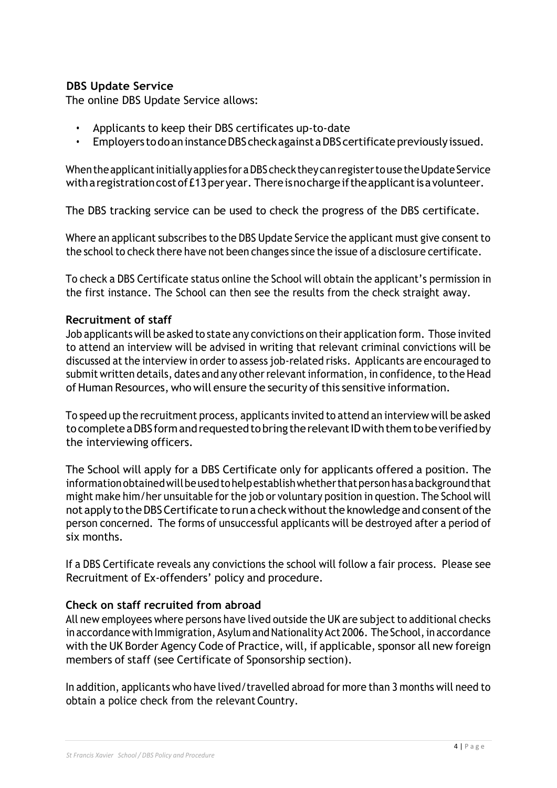# **DBS Update Service**

The online DBS Update Service allows:

- Applicants to keep their DBS certificates up-to-date
- Employers to do an instance DBS check against a DBS certificate previously issued.

When the applicant initially applies for a DBS check they can register to use the Update Service with a registration cost of £13 per year. There is no charge if the applicant is a volunteer.

The DBS tracking service can be used to check the progress of the DBS certificate.

Where an applicant subscribes to the DBS Update Service the applicant must give consent to the school to check there have not been changes since the issue of a disclosure certificate.

To check a DBS Certificate status online the School will obtain the applicant's permission in the first instance. The School can then see the results from the check straight away.

### **Recruitment of staff**

Job applicants will be asked to state any convictions on their application form. Those invited to attend an interview will be advised in writing that relevant criminal convictions will be discussed at the interview in order to assess job-related risks. Applicants are encouraged to submit written details, dates and any other relevant information, in confidence, to the Head of Human Resources, who will ensure the security of this sensitive information.

To speed up the recruitment process, applicants invited to attend an interview will be asked to complete a DBS form and requested to bring the relevant ID with them to be verified by the interviewing officers.

The School will apply for a DBS Certificate only for applicants offered a position. The informationobtainedwillbeusedtohelpestablishwhetherthatpersonhasabackgroundthat might make him/her unsuitable for the job or voluntary position in question. The School will not apply to the DBS Certificate to run a check without the knowledge and consent of the person concerned. The forms of unsuccessful applicants will be destroyed after a period of six months.

If a DBS Certificate reveals any convictions the school will follow a fair process. Please see Recruitment of Ex-offenders' policy and procedure.

# **Check on staff recruited from abroad**

All new employees where persons have lived outside the UK are subject to additional checks in accordance with Immigration, Asylum and Nationality Act 2006. The School, in accordance with the UK Border Agency Code of Practice, will, if applicable, sponsor all new foreign members of staff (see Certificate of Sponsorship section).

In addition, applicants who have lived/travelled abroad for more than 3 months will need to obtain a police check from the relevant Country.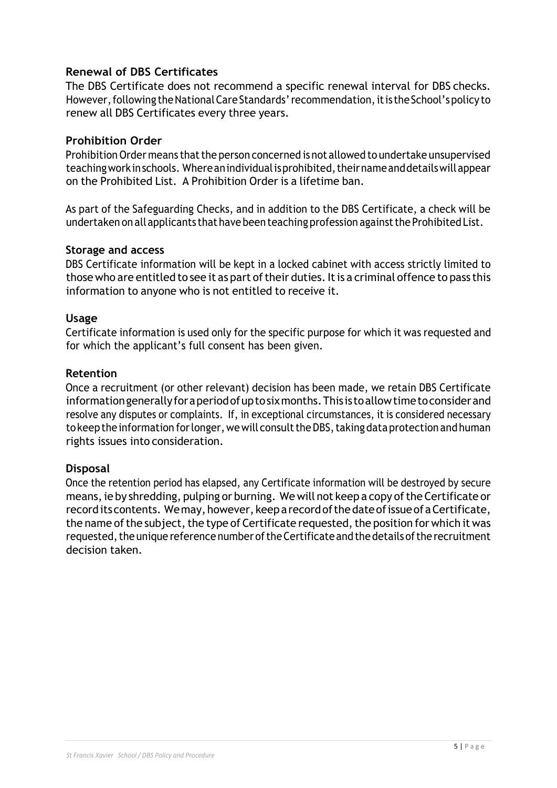### **Renewal of DBS Certificates**

The DBS Certificate does not recommend a specific renewal interval for DBS checks. However, following the National Care Standards' recommendation, it is the School's policy to renew all DBS Certificates every three years.

### **Prohibition Order**

Prohibition Order means that the person concerned is not allowed to undertake unsupervised teaching work in schools. Where an individual is prohibited, their name and details will appear on the Prohibited List. A Prohibition Order is a lifetime ban.

As part of the Safeguarding Checks, and in addition to the DBS Certificate, a check will be undertaken on all applicants that have been teaching profession against the Prohibited List.

### **Storage and access**

DBS Certificate information will be kept in a locked cabinet with access strictly limited to those who are entitled to see it as part of their duties. It is a criminal offence to pass this information to anyone who is not entitled to receive it.

### **Usage**

Certificate information is used only for the specific purpose for which it was requested and for which the applicant's full consent has been given.

### **Retention**

Once a recruitment (or other relevant) decision has been made, we retain DBS Certificate informationgenerallyforaperiodofuptosixmonths.Thisistoallowtimetoconsiderand resolve any disputes or complaints. If, in exceptional circumstances, it is considered necessary to keep the information for longer, we will consult the DBS, taking data protection and human rights issues into consideration.

### **Disposal**

Once the retention period has elapsed, any Certificate information will be destroyed by secure means, ie by shredding, pulping or burning. We will not keep a copy of the Certificate or record its contents. We may, however, keep a record of the date of issue of a Certificate, the name of the subject, the type of Certificate requested, the position for which it was requested, the unique reference number of the Certificate and the details of the recruitment decision taken.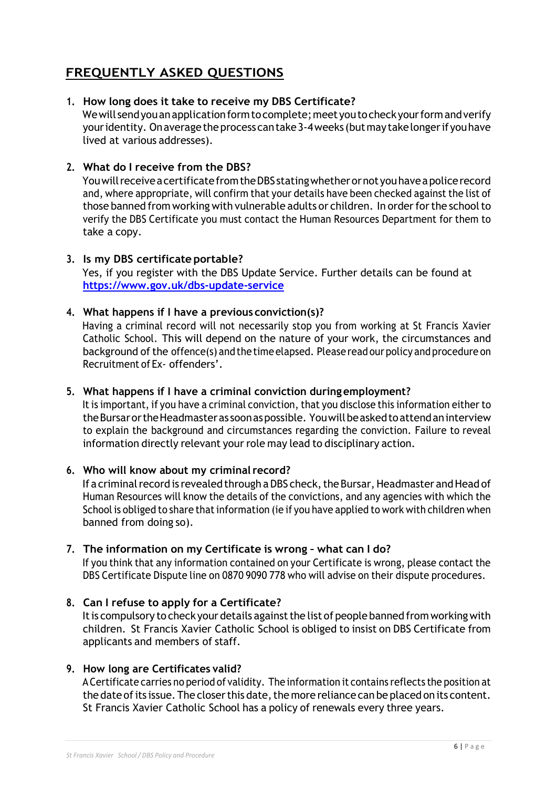# **FREQUENTLY ASKED QUESTIONS**

### **1. How long does it take to receive my DBS Certificate?**

We will send you an application form to complete; meet you to check your form and verify your identity. On average the process can take 3-4 weeks (but may take longer if you have lived at various addresses).

### **2. What do I receive from the DBS?**

YouwillreceiveacertificatefromtheDBSstatingwhetherornotyouhaveapolicerecord and, where appropriate, will confirm that your details have been checked against the list of those banned from working with vulnerable adults or children. In order for the school to verify the DBS Certificate you must contact the Human Resources Department for them to take a copy.

### **3. Is my DBS certificate portable?**

Yes, if you register with the DBS Update Service. Further details can be found at **[https://www.gov](http://www.gov.uk/dbs-update-service).uk/db[s-update-service](http://www.gov.uk/dbs-update-service)**

### **4. What happens if I have a previous conviction(s)?**

Having a criminal record will not necessarily stop you from working at St Francis Xavier Catholic School. This will depend on the nature of your work, the circumstances and background of the offence(s) and the time elapsed. Please read our policy and procedure on Recruitment of Ex- offenders'.

### **5. What happens if I have a criminal conviction duringemployment?**

It is important, if you have a criminal conviction, that you disclose this information either to theBursarortheHeadmasteras soonaspossible. Youwillbeaskedtoattendaninterview to explain the background and circumstances regarding the conviction. Failure to reveal information directly relevant your role may lead to disciplinary action.

### **6. Who will know about my criminal record?**

If a criminal record is revealed through a DBS check, the Bursar, Headmaster and Head of Human Resources will know the details of the convictions, and any agencies with which the School is obliged to share that information (ie if you have applied to work with children when banned from doing so).

### **7. The information on my Certificate is wrong – what can I do?**

If you think that any information contained on your Certificate is wrong, please contact the DBS Certificate Dispute line on 0870 9090 778 who will advise on their dispute procedures.

### **8. Can I refuse to apply for a Certificate?**

It is compulsory to check your details against the list of people banned from working with children. St Francis Xavier Catholic School is obliged to insist on DBS Certificate from applicants and members of staff.

### **9. How long are Certificates valid?**

ACertificate carries no period of validity. The information it contains reflects the position at the date of its issue. The closer this date, the more reliance can be placed on its content. St Francis Xavier Catholic School has a policy of renewals every three years.